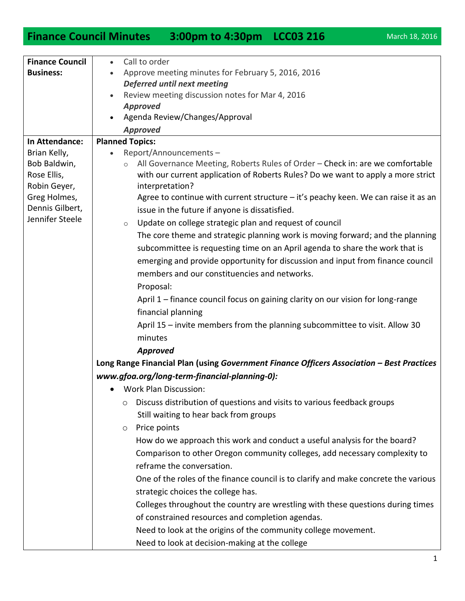## **Finance Council Minutes 3:00pm to 4:30pm LCC03 216** March 18, 2016

| <b>Finance Council</b>                      | Call to order<br>$\bullet$                                                                                                                                                                      |
|---------------------------------------------|-------------------------------------------------------------------------------------------------------------------------------------------------------------------------------------------------|
| <b>Business:</b>                            | Approve meeting minutes for February 5, 2016, 2016                                                                                                                                              |
|                                             | <b>Deferred until next meeting</b>                                                                                                                                                              |
|                                             | Review meeting discussion notes for Mar 4, 2016                                                                                                                                                 |
|                                             | <b>Approved</b>                                                                                                                                                                                 |
|                                             | Agenda Review/Changes/Approval                                                                                                                                                                  |
|                                             | <b>Approved</b>                                                                                                                                                                                 |
| In Attendance:                              | <b>Planned Topics:</b>                                                                                                                                                                          |
| Brian Kelly,                                | Report/Announcements-                                                                                                                                                                           |
| Bob Baldwin,<br>Rose Ellis,<br>Robin Geyer, | All Governance Meeting, Roberts Rules of Order - Check in: are we comfortable<br>$\circ$<br>with our current application of Roberts Rules? Do we want to apply a more strict<br>interpretation? |
| Greg Holmes,                                | Agree to continue with current structure $-$ it's peachy keen. We can raise it as an                                                                                                            |
| Dennis Gilbert,                             | issue in the future if anyone is dissatisfied.                                                                                                                                                  |
| Jennifer Steele                             |                                                                                                                                                                                                 |
|                                             | Update on college strategic plan and request of council<br>$\circ$                                                                                                                              |
|                                             | The core theme and strategic planning work is moving forward; and the planning                                                                                                                  |
|                                             | subcommittee is requesting time on an April agenda to share the work that is                                                                                                                    |
|                                             | emerging and provide opportunity for discussion and input from finance council                                                                                                                  |
|                                             | members and our constituencies and networks.                                                                                                                                                    |
|                                             | Proposal:                                                                                                                                                                                       |
|                                             | April 1 – finance council focus on gaining clarity on our vision for long-range                                                                                                                 |
|                                             | financial planning                                                                                                                                                                              |
|                                             | April 15 – invite members from the planning subcommittee to visit. Allow 30                                                                                                                     |
|                                             | minutes                                                                                                                                                                                         |
|                                             | Approved                                                                                                                                                                                        |
|                                             | Long Range Financial Plan (using Government Finance Officers Association - Best Practices                                                                                                       |
|                                             | www.gfoa.org/long-term-financial-planning-0):                                                                                                                                                   |
|                                             |                                                                                                                                                                                                 |
|                                             | <b>Work Plan Discussion:</b>                                                                                                                                                                    |
|                                             | Discuss distribution of questions and visits to various feedback groups<br>$\circ$                                                                                                              |
|                                             | Still waiting to hear back from groups                                                                                                                                                          |
|                                             | Price points<br>$\circ$                                                                                                                                                                         |
|                                             | How do we approach this work and conduct a useful analysis for the board?                                                                                                                       |
|                                             | Comparison to other Oregon community colleges, add necessary complexity to                                                                                                                      |
|                                             | reframe the conversation.                                                                                                                                                                       |
|                                             | One of the roles of the finance council is to clarify and make concrete the various                                                                                                             |
|                                             | strategic choices the college has.                                                                                                                                                              |
|                                             | Colleges throughout the country are wrestling with these questions during times                                                                                                                 |
|                                             | of constrained resources and completion agendas.                                                                                                                                                |
|                                             |                                                                                                                                                                                                 |
|                                             | Need to look at the origins of the community college movement.                                                                                                                                  |
|                                             | Need to look at decision-making at the college                                                                                                                                                  |